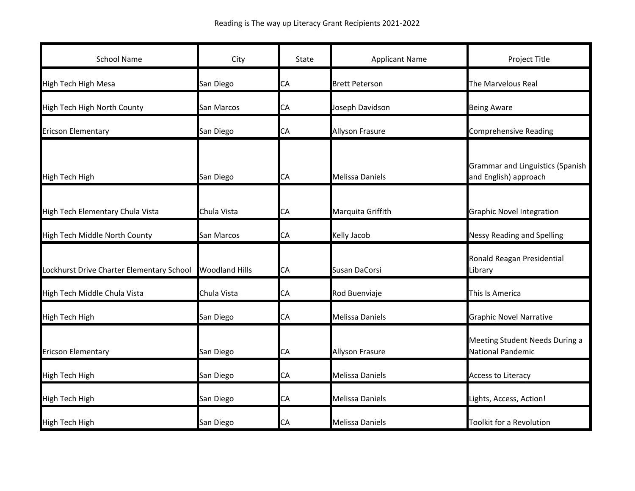| <b>School Name</b>                        | City                  | State | <b>Applicant Name</b>  | Project Title                                                    |
|-------------------------------------------|-----------------------|-------|------------------------|------------------------------------------------------------------|
| <b>High Tech High Mesa</b>                | San Diego             | CA    | <b>Brett Peterson</b>  | <b>The Marvelous Real</b>                                        |
| High Tech High North County               | San Marcos            | CA    | Joseph Davidson        | <b>Being Aware</b>                                               |
| <b>Ericson Elementary</b>                 | San Diego             | CA    | <b>Allyson Frasure</b> | <b>Comprehensive Reading</b>                                     |
| <b>High Tech High</b>                     | San Diego             | CA    | <b>Melissa Daniels</b> | <b>Grammar and Linguistics (Spanish</b><br>and English) approach |
| High Tech Elementary Chula Vista          | Chula Vista           | СA    | Marquita Griffith      | <b>Graphic Novel Integration</b>                                 |
| High Tech Middle North County             | San Marcos            | СA    | Kelly Jacob            | <b>Nessy Reading and Spelling</b>                                |
| Lockhurst Drive Charter Elementary School | <b>Woodland Hills</b> | СA    | Susan DaCorsi          | Ronald Reagan Presidential<br>Library                            |
| High Tech Middle Chula Vista              | Chula Vista           | CА    | Rod Buenviaje          | This Is America                                                  |
| <b>High Tech High</b>                     | San Diego             | СA    | Melissa Daniels        | <b>Graphic Novel Narrative</b>                                   |
| <b>Ericson Elementary</b>                 | San Diego             | CA    | <b>Allyson Frasure</b> | Meeting Student Needs During a<br><b>National Pandemic</b>       |
| <b>High Tech High</b>                     | San Diego             | СA    | Melissa Daniels        | <b>Access to Literacy</b>                                        |
| <b>High Tech High</b>                     | San Diego             | CA    | Melissa Daniels        | Lights, Access, Action!                                          |
| <b>High Tech High</b>                     | San Diego             | СA    | Melissa Daniels        | Toolkit for a Revolution                                         |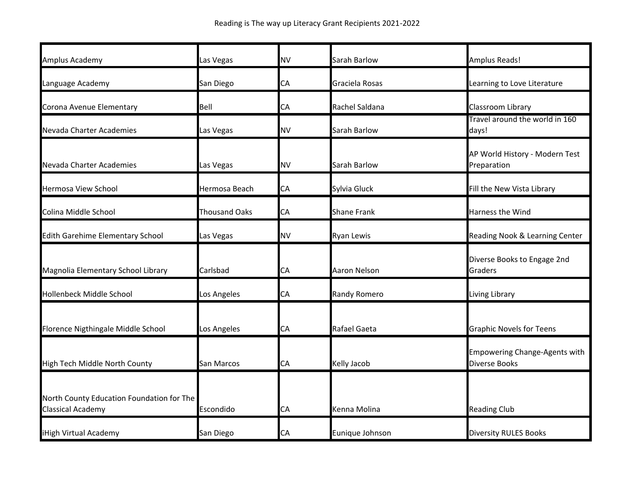| Amplus Academy                                                        | Las Vegas            | <b>NV</b> | Sarah Barlow        | <b>Amplus Reads!</b>                                         |
|-----------------------------------------------------------------------|----------------------|-----------|---------------------|--------------------------------------------------------------|
| Language Academy                                                      | San Diego            | СA        | Graciela Rosas      | Learning to Love Literature                                  |
| Corona Avenue Elementary                                              | Bell                 | СA        | Rachel Saldana      | Classroom Library                                            |
| Nevada Charter Academies                                              | Las Vegas            | <b>NV</b> | Sarah Barlow        | Travel around the world in 160<br>days!                      |
| Nevada Charter Academies                                              | Las Vegas            | <b>NV</b> | Sarah Barlow        | AP World History - Modern Test<br>Preparation                |
| <b>Hermosa View School</b>                                            | Hermosa Beach        | CA        | Sylvia Gluck        | Fill the New Vista Library                                   |
| Colina Middle School                                                  | <b>Thousand Oaks</b> | CA        | <b>Shane Frank</b>  | Harness the Wind                                             |
| <b>Edith Garehime Elementary School</b>                               | Las Vegas            | <b>NV</b> | <b>Ryan Lewis</b>   | Reading Nook & Learning Center                               |
| Magnolia Elementary School Library                                    | Carlsbad             | СA        | Aaron Nelson        | Diverse Books to Engage 2nd<br>Graders                       |
| Hollenbeck Middle School                                              | Los Angeles          | СA        | <b>Randy Romero</b> | Living Library                                               |
| Florence Nigthingale Middle School                                    | Los Angeles          | CA        | Rafael Gaeta        | <b>Graphic Novels for Teens</b>                              |
| High Tech Middle North County                                         | San Marcos           | CA        | Kelly Jacob         | <b>Empowering Change-Agents with</b><br><b>Diverse Books</b> |
| North County Education Foundation for The<br><b>Classical Academy</b> | Escondido            | СA        | Kenna Molina        | <b>Reading Club</b>                                          |
| iHigh Virtual Academy                                                 | San Diego            | CA        | Eunique Johnson     | <b>Diversity RULES Books</b>                                 |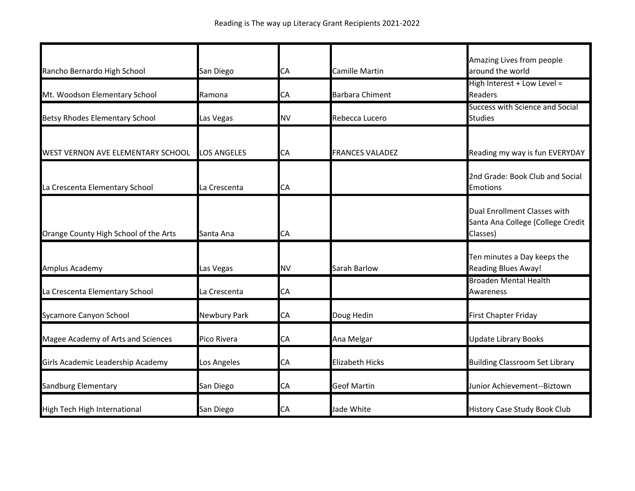| Rancho Bernardo High School           | San Diego          | СA | <b>Camille Martin</b>  | Amazing Lives from people<br>around the world                                 |
|---------------------------------------|--------------------|----|------------------------|-------------------------------------------------------------------------------|
| Mt. Woodson Elementary School         | Ramona             | СA | <b>Barbara Chiment</b> | High Interest + Low Level =<br>Readers                                        |
| <b>Betsy Rhodes Elementary School</b> | Las Vegas          | NV | Rebecca Lucero         | Success with Science and Social<br><b>Studies</b>                             |
| WEST VERNON AVE ELEMENTARY SCHOOL     | <b>LOS ANGELES</b> | СA | <b>FRANCES VALADEZ</b> | Reading my way is fun EVERYDAY                                                |
| La Crescenta Elementary School        | La Crescenta       | СA |                        | 2nd Grade: Book Club and Social<br><b>Emotions</b>                            |
| Orange County High School of the Arts | Santa Ana          | СA |                        | Dual Enrollment Classes with<br>Santa Ana College (College Credit<br>Classes) |
| Amplus Academy                        | Las Vegas          | ΝV | Sarah Barlow           | Ten minutes a Day keeps the<br><b>Reading Blues Away!</b>                     |
| La Crescenta Elementary School        | La Crescenta       | СA |                        | <b>Broaden Mental Health</b><br>Awareness                                     |
| Sycamore Canyon School                | Newbury Park       | СA | Doug Hedin             | <b>First Chapter Friday</b>                                                   |
| Magee Academy of Arts and Sciences    | Pico Rivera        | СA | Ana Melgar             | <b>Update Library Books</b>                                                   |
| Girls Academic Leadership Academy     | Los Angeles        | СA | <b>Elizabeth Hicks</b> | <b>Building Classroom Set Library</b>                                         |
| Sandburg Elementary                   | San Diego          | СA | <b>Geof Martin</b>     | Junior Achievement--Biztown                                                   |
| High Tech High International          | San Diego          | СA | Jade White             | <b>History Case Study Book Club</b>                                           |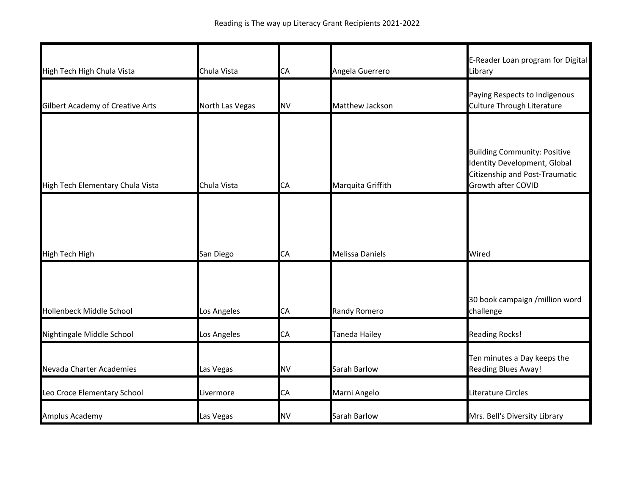| High Tech High Chula Vista              | Chula Vista     | CA        | Angela Guerrero        | E-Reader Loan program for Digital<br>Library                                                                                |
|-----------------------------------------|-----------------|-----------|------------------------|-----------------------------------------------------------------------------------------------------------------------------|
|                                         |                 |           |                        | Paying Respects to Indigenous                                                                                               |
| <b>Gilbert Academy of Creative Arts</b> | North Las Vegas | <b>NV</b> | Matthew Jackson        | Culture Through Literature                                                                                                  |
|                                         |                 |           |                        |                                                                                                                             |
| High Tech Elementary Chula Vista        | Chula Vista     | CA        | Marquita Griffith      | <b>Building Community: Positive</b><br>Identity Development, Global<br>Citizenship and Post-Traumatic<br>Growth after COVID |
|                                         |                 |           |                        |                                                                                                                             |
|                                         |                 |           |                        |                                                                                                                             |
| <b>High Tech High</b>                   | San Diego       | CA        | <b>Melissa Daniels</b> | Wired                                                                                                                       |
|                                         |                 |           |                        |                                                                                                                             |
| Hollenbeck Middle School                | Los Angeles     | CA        | <b>Randy Romero</b>    | 30 book campaign /million word<br>challenge                                                                                 |
| Nightingale Middle School               | Los Angeles     | CA        | Taneda Hailey          | <b>Reading Rocks!</b>                                                                                                       |
| Nevada Charter Academies                | Las Vegas       | <b>NV</b> | Sarah Barlow           | Ten minutes a Day keeps the<br><b>Reading Blues Away!</b>                                                                   |
| Leo Croce Elementary School             | Livermore       | CA        | Marni Angelo           | Literature Circles                                                                                                          |
| Amplus Academy                          | Las Vegas       | <b>NV</b> | Sarah Barlow           | Mrs. Bell's Diversity Library                                                                                               |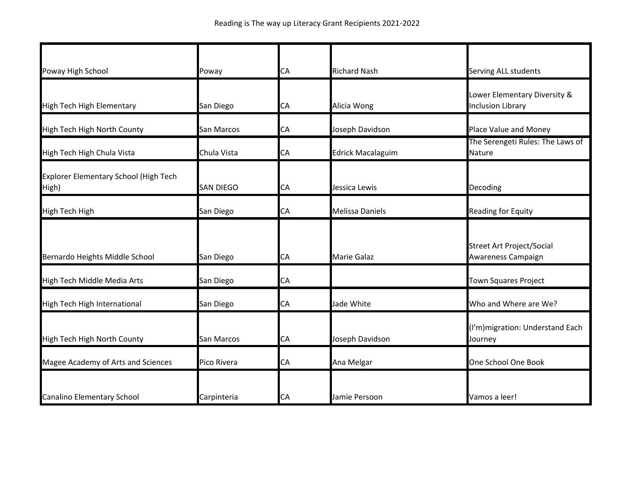| Poway High School                              | Poway             | CA        | <b>Richard Nash</b>      | Serving ALL students                                     |
|------------------------------------------------|-------------------|-----------|--------------------------|----------------------------------------------------------|
| <b>High Tech High Elementary</b>               | San Diego         | CA        | Alicia Wong              | Lower Elementary Diversity &<br><b>Inclusion Library</b> |
| High Tech High North County                    | San Marcos        | CA        | Joseph Davidson          | Place Value and Money                                    |
| High Tech High Chula Vista                     | Chula Vista       | CA        | <b>Edrick Macalaguim</b> | The Serengeti Rules: The Laws of<br>Nature               |
| Explorer Elementary School (High Tech<br>High) | <b>SAN DIEGO</b>  | CA        | Jessica Lewis            | Decoding                                                 |
| High Tech High                                 | San Diego         | CA        | <b>Melissa Daniels</b>   | Reading for Equity                                       |
| Bernardo Heights Middle School                 | San Diego         | СA        | <b>Marie Galaz</b>       | <b>Street Art Project/Social</b><br>Awareness Campaign   |
| High Tech Middle Media Arts                    | San Diego         | CA        |                          | <b>Town Squares Project</b>                              |
| High Tech High International                   | San Diego         | CA        | Jade White               | Who and Where are We?                                    |
| High Tech High North County                    | <b>San Marcos</b> | <b>CA</b> | Joseph Davidson          | (I'm) migration: Understand Each<br>Journey              |
| Magee Academy of Arts and Sciences             | Pico Rivera       | CA        | Ana Melgar               | One School One Book                                      |
| <b>Canalino Elementary School</b>              | Carpinteria       | <b>CA</b> | Jamie Persoon            | Vamos a leer!                                            |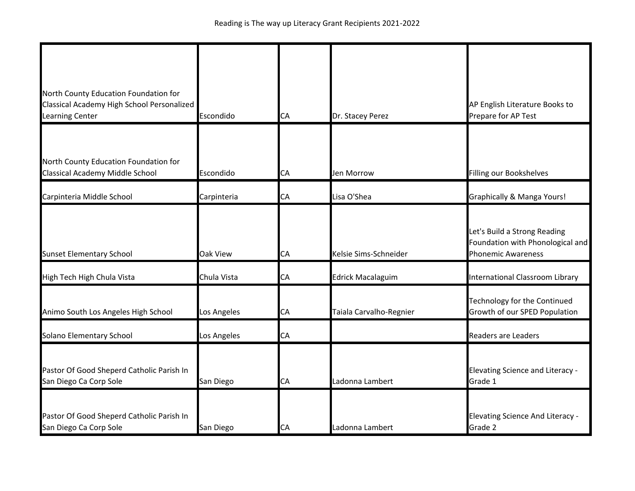| North County Education Foundation for<br>Classical Academy High School Personalized<br>Learning Center | Escondido       | CA | Dr. Stacey Perez         | AP English Literature Books to<br>Prepare for AP Test                                         |
|--------------------------------------------------------------------------------------------------------|-----------------|----|--------------------------|-----------------------------------------------------------------------------------------------|
|                                                                                                        |                 |    |                          |                                                                                               |
| North County Education Foundation for<br>Classical Academy Middle School                               | Escondido       | CA | Jen Morrow               | Filling our Bookshelves                                                                       |
| Carpinteria Middle School                                                                              | Carpinteria     | CA | Lisa O'Shea              | Graphically & Manga Yours!                                                                    |
| <b>Sunset Elementary School</b>                                                                        | <b>Oak View</b> | СA | Kelsie Sims-Schneider    | Let's Build a Strong Reading<br>Foundation with Phonological and<br><b>Phonemic Awareness</b> |
| High Tech High Chula Vista                                                                             | Chula Vista     | СA | <b>Edrick Macalaguim</b> | International Classroom Library                                                               |
| Animo South Los Angeles High School                                                                    | Los Angeles     | CA | Taiala Carvalho-Regnier  | Technology for the Continued<br>Growth of our SPED Population                                 |
| Solano Elementary School                                                                               | Los Angeles     | CA |                          | <b>Readers are Leaders</b>                                                                    |
| Pastor Of Good Sheperd Catholic Parish In<br>San Diego Ca Corp Sole                                    | San Diego       | CA | Ladonna Lambert          | <b>Elevating Science and Literacy -</b><br>Grade 1                                            |
| Pastor Of Good Sheperd Catholic Parish In<br>San Diego Ca Corp Sole                                    | San Diego       | CA | Ladonna Lambert          | <b>Elevating Science And Literacy -</b><br>Grade 2                                            |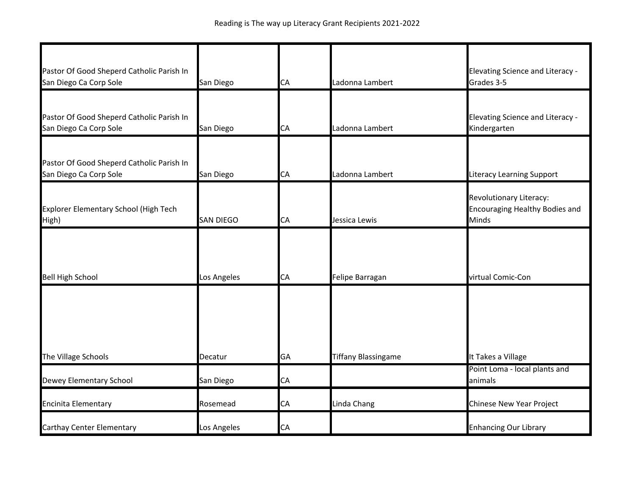| Pastor Of Good Sheperd Catholic Parish In<br>San Diego Ca Corp Sole | San Diego        | CA        | Ladonna Lambert            | <b>Elevating Science and Literacy -</b><br>Grades 3-5                            |
|---------------------------------------------------------------------|------------------|-----------|----------------------------|----------------------------------------------------------------------------------|
| Pastor Of Good Sheperd Catholic Parish In<br>San Diego Ca Corp Sole | San Diego        | CA        | Ladonna Lambert            | <b>Elevating Science and Literacy -</b><br>Kindergarten                          |
| Pastor Of Good Sheperd Catholic Parish In<br>San Diego Ca Corp Sole | San Diego        | <b>CA</b> | Ladonna Lambert            | <b>Literacy Learning Support</b>                                                 |
| Explorer Elementary School (High Tech<br>High)                      | <b>SAN DIEGO</b> | CA        | Jessica Lewis              | Revolutionary Literacy:<br><b>Encouraging Healthy Bodies and</b><br><b>Minds</b> |
| <b>Bell High School</b>                                             | Los Angeles      | CA        | Felipe Barragan            | virtual Comic-Con                                                                |
|                                                                     |                  |           |                            |                                                                                  |
| The Village Schools                                                 | Decatur          | GA        | <b>Tiffany Blassingame</b> | It Takes a Village                                                               |
| Dewey Elementary School                                             | San Diego        | CA        |                            | Point Loma - local plants and<br>animals                                         |
| Encinita Elementary                                                 | Rosemead         | CA        | Linda Chang                | Chinese New Year Project                                                         |
| Carthay Center Elementary                                           | Los Angeles      | CA        |                            | <b>Enhancing Our Library</b>                                                     |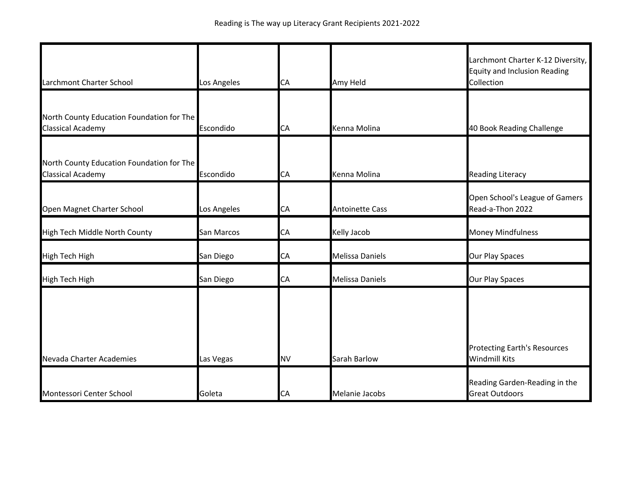| Larchmont Charter School                                              | Los Angeles | CA        | Amy Held               | Larchmont Charter K-12 Diversity,<br><b>Equity and Inclusion Reading</b><br>Collection |
|-----------------------------------------------------------------------|-------------|-----------|------------------------|----------------------------------------------------------------------------------------|
| North County Education Foundation for The<br><b>Classical Academy</b> | Escondido   | CA        | Kenna Molina           | 40 Book Reading Challenge                                                              |
| North County Education Foundation for The<br><b>Classical Academy</b> | Escondido   | CA        | Kenna Molina           | <b>Reading Literacy</b>                                                                |
| Open Magnet Charter School                                            | Los Angeles | CA        | <b>Antoinette Cass</b> | Open School's League of Gamers<br>Read-a-Thon 2022                                     |
| High Tech Middle North County                                         | San Marcos  | CA        | Kelly Jacob            | <b>Money Mindfulness</b>                                                               |
| <b>High Tech High</b>                                                 | San Diego   | CA        | <b>Melissa Daniels</b> | Our Play Spaces                                                                        |
| <b>High Tech High</b>                                                 | San Diego   | СA        | Melissa Daniels        | Our Play Spaces                                                                        |
| Nevada Charter Academies                                              | Las Vegas   | <b>NV</b> | Sarah Barlow           | <b>Protecting Earth's Resources</b><br><b>Windmill Kits</b>                            |
| Montessori Center School                                              | Goleta      | СA        | Melanie Jacobs         | Reading Garden-Reading in the<br><b>Great Outdoors</b>                                 |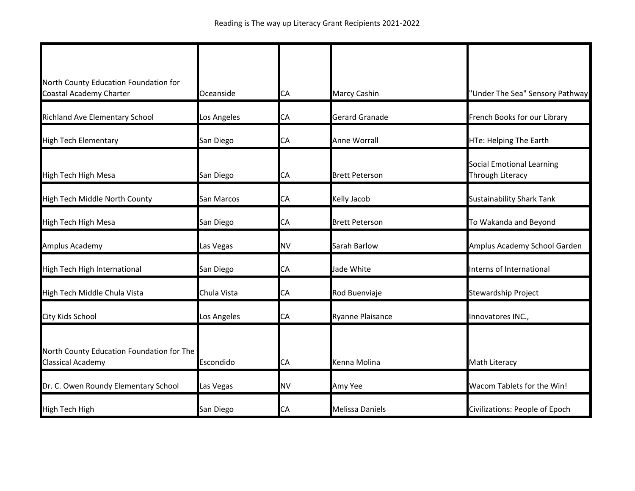| North County Education Foundation for<br>Coastal Academy Charter      | Oceanside   | СA        | <b>Marcy Cashin</b>     | "Under The Sea" Sensory Pathway                      |
|-----------------------------------------------------------------------|-------------|-----------|-------------------------|------------------------------------------------------|
| Richland Ave Elementary School                                        | Los Angeles | СA        | <b>Gerard Granade</b>   | French Books for our Library                         |
| <b>High Tech Elementary</b>                                           | San Diego   | СA        | Anne Worrall            | HTe: Helping The Earth                               |
| High Tech High Mesa                                                   | San Diego   | СA        | <b>Brett Peterson</b>   | <b>Social Emotional Learning</b><br>Through Literacy |
| High Tech Middle North County                                         | San Marcos  | CA        | Kelly Jacob             | <b>Sustainability Shark Tank</b>                     |
| High Tech High Mesa                                                   | San Diego   | СA        | <b>Brett Peterson</b>   | To Wakanda and Beyond                                |
| Amplus Academy                                                        | Las Vegas   | <b>NV</b> | Sarah Barlow            | Amplus Academy School Garden                         |
| High Tech High International                                          | San Diego   | СA        | Jade White              | Interns of International                             |
| High Tech Middle Chula Vista                                          | Chula Vista | CA        | Rod Buenviaje           | <b>Stewardship Project</b>                           |
| City Kids School                                                      | Los Angeles | СA        | <b>Ryanne Plaisance</b> | Innovatores INC.,                                    |
| North County Education Foundation for The<br><b>Classical Academy</b> | Escondido   | СA        | Kenna Molina            | Math Literacy                                        |
| Dr. C. Owen Roundy Elementary School                                  | Las Vegas   | <b>NV</b> | Amy Yee                 | Wacom Tablets for the Win!                           |
| High Tech High                                                        | San Diego   | CA        | <b>Melissa Daniels</b>  | Civilizations: People of Epoch                       |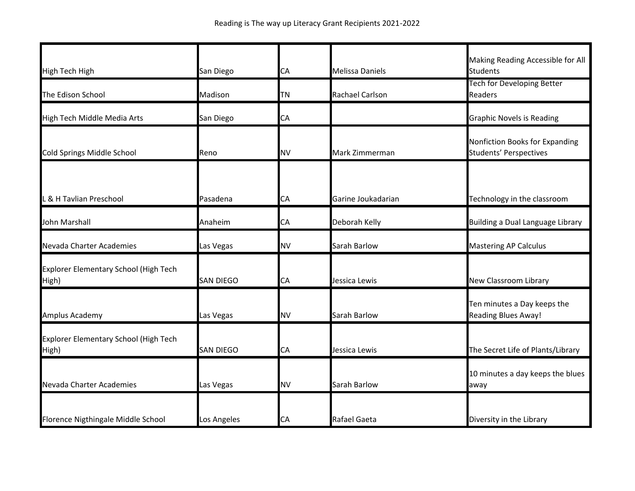|                                                |                  |           |                        | Making Reading Accessible for All                               |
|------------------------------------------------|------------------|-----------|------------------------|-----------------------------------------------------------------|
| <b>High Tech High</b>                          | San Diego        | СA        | <b>Melissa Daniels</b> | <b>Students</b>                                                 |
| The Edison School                              | Madison          | TΝ        | <b>Rachael Carlson</b> | Tech for Developing Better<br><b>Readers</b>                    |
| High Tech Middle Media Arts                    | San Diego        | CA        |                        | <b>Graphic Novels is Reading</b>                                |
| Cold Springs Middle School                     | Reno             | <b>NV</b> | Mark Zimmerman         | Nonfiction Books for Expanding<br><b>Students' Perspectives</b> |
| & H Tavlian Preschool                          | Pasadena         | СA        | Garine Joukadarian     | Technology in the classroom                                     |
|                                                |                  |           |                        |                                                                 |
| John Marshall                                  | Anaheim          | СA        | Deborah Kelly          | Building a Dual Language Library                                |
| Nevada Charter Academies                       | Las Vegas        | <b>NV</b> | Sarah Barlow           | <b>Mastering AP Calculus</b>                                    |
| Explorer Elementary School (High Tech<br>High) | <b>SAN DIEGO</b> | СA        | Jessica Lewis          | New Classroom Library                                           |
| Amplus Academy                                 | Las Vegas        | <b>NV</b> | Sarah Barlow           | Ten minutes a Day keeps the<br><b>Reading Blues Away!</b>       |
| Explorer Elementary School (High Tech<br>High) | <b>SAN DIEGO</b> | СA        | Jessica Lewis          | The Secret Life of Plants/Library                               |
| Nevada Charter Academies                       | Las Vegas        | <b>NV</b> | Sarah Barlow           | 10 minutes a day keeps the blues<br>away                        |
| Florence Nigthingale Middle School             | Los Angeles      | СA        | Rafael Gaeta           | Diversity in the Library                                        |